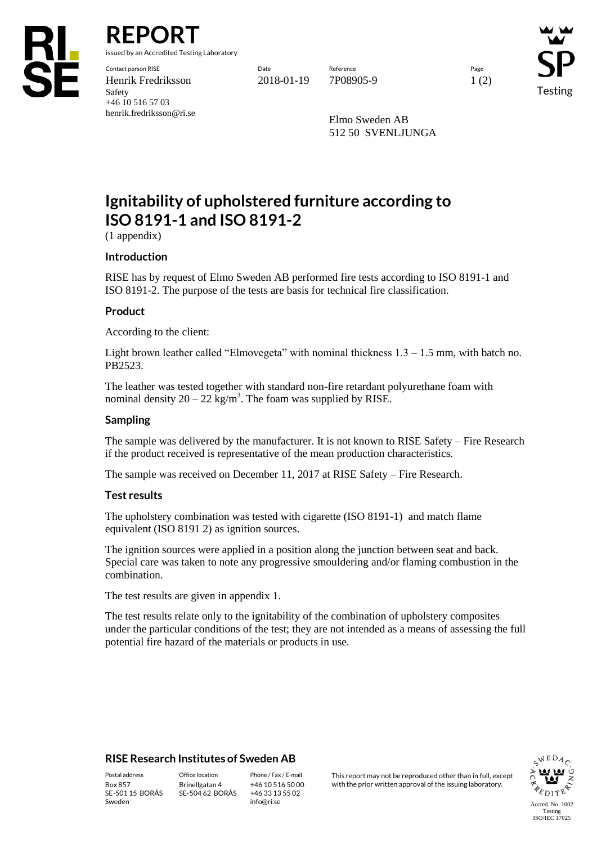

**REPORT**

issued by an Accredited Testing Laboratory

Contact person RISE Date Reference Page Henrik Fredriksson 2018-01-19 7P08905-9 1 (2) Safety +46 10 516 57 03 henrik.fredriksson@ri.se

Testing

Elmo Sweden AB 512 50 SVENLJUNGA

# **Ignitability of upholstered furniture according to ISO 8191-1 and ISO 8191-2**

(1 appendix)

## **Introduction**

RISE has by request of Elmo Sweden AB performed fire tests according to ISO 8191-1 and ISO 8191-2. The purpose of the tests are basis for technical fire classification.

## **Product**

According to the client:

Light brown leather called "Elmovegeta" with nominal thickness  $1.3 - 1.5$  mm, with batch no. PB2523.

The leather was tested together with standard non-fire retardant polyurethane foam with nominal density  $20 - 22$  kg/m<sup>3</sup>. The foam was supplied by RISE.

#### **Sampling**

The sample was delivered by the manufacturer. It is not known to RISE Safety – Fire Research if the product received is representative of the mean production characteristics.

The sample was received on December 11, 2017 at RISE Safety – Fire Research.

## **Test results**

The upholstery combination was tested with cigarette (ISO 8191-1) and match flame equivalent (ISO 8191 2) as ignition sources.

The ignition sources were applied in a position along the junction between seat and back. Special care was taken to note any progressive smouldering and/or flaming combustion in the combination.

The test results are given in appendix 1.

The test results relate only to the ignitability of the combination of upholstery composites under the particular conditions of the test; they are not intended as a means of assessing the full potential fire hazard of the materials or products in use.

## **RISE Research Institutes of Sweden AB**

SE-501 15 BORÅS Sweden

Brinellgatan 4 SE-504 62 BORÅS

+46 10 516 50 00 +46 33 13 55 02 info@ri.se

Postal address Office location Phone / Fax / E-mail This report may not be reproduced other than in full, except Box 857 Brinellgatan 4 +46 10 516 50 00 with the prior written approval of the issuing laboratory.

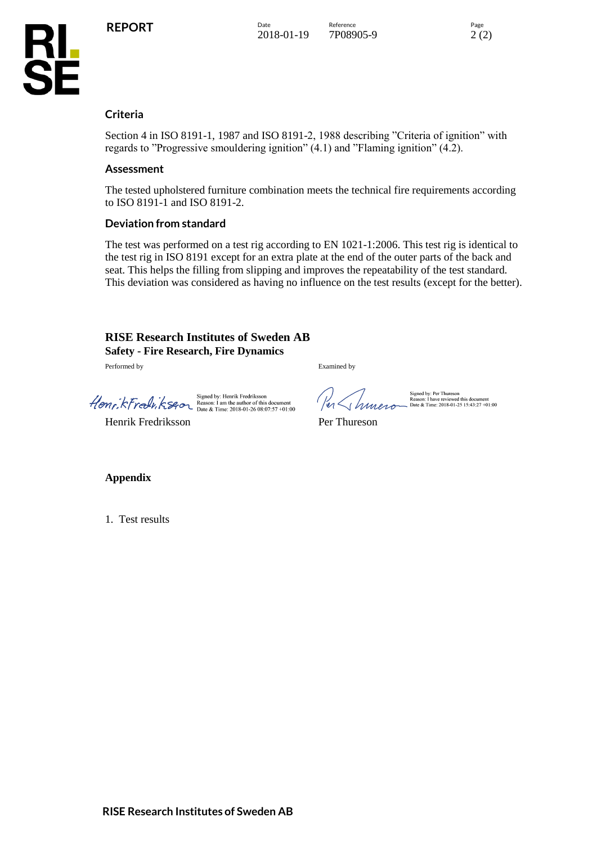



## **Criteria**

Section 4 in ISO 8191-1, 1987 and ISO 8191-2, 1988 describing "Criteria of ignition" with regards to "Progressive smouldering ignition" (4.1) and "Flaming ignition" (4.2).

#### **Assessment**

The tested upholstered furniture combination meets the technical fire requirements according to ISO 8191-1 and ISO 8191-2.

## **Deviation from standard**

The test was performed on a test rig according to EN 1021-1:2006. This test rig is identical to the test rig in ISO 8191 except for an extra plate at the end of the outer parts of the back and seat. This helps the filling from slipping and improves the repeatability of the test standard. This deviation was considered as having no influence on the test results (except for the better).

**RISE Research Institutes of Sweden AB Safety - Fire Research, Fire Dynamics** Performed by Examined by

Signed by: Henrik Fredriksson<br>
Henri, kFredriks (Reason: 1 am the author of this document<br>
Date & Time: 2018-01-26 08:07:57 +01:00

Henrik Fredriksson Per Thureson

Signed by: Per Thureson<br>Reason: I have reviewed this document<br>Date & Time: 2018-01-25 15:43:27 +01:00

**Appendix**

1. Test results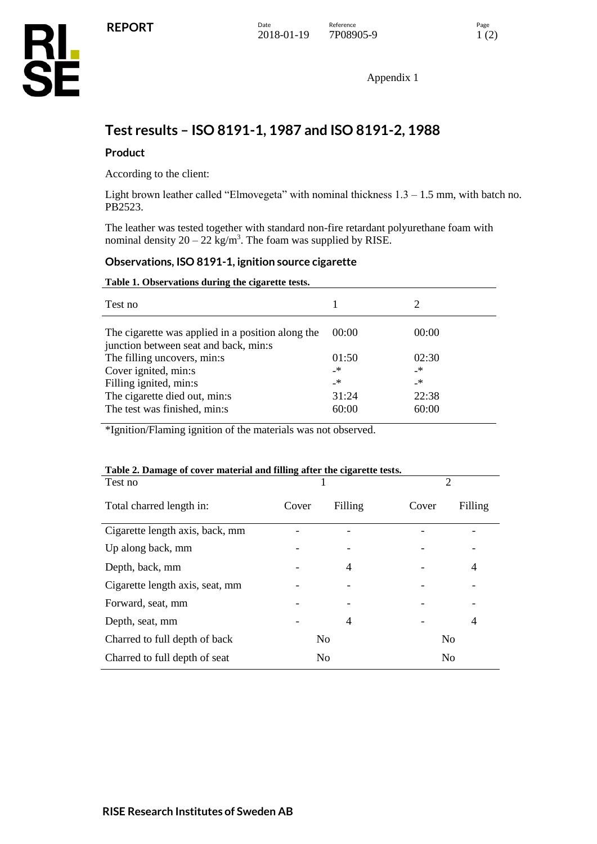Appendix 1

## **Test results – ISO 8191-1, 1987 and ISO 8191-2, 1988**

## **Product**

According to the client:

Light brown leather called "Elmovegeta" with nominal thickness  $1.3 - 1.5$  mm, with batch no. PB2523.

The leather was tested together with standard non-fire retardant polyurethane foam with nominal density  $20 - 22$  kg/m<sup>3</sup>. The foam was supplied by RISE.

## **Observations, ISO 8191-1, ignition source cigarette**

#### **Table 1. Observations during the cigarette tests.**

| Test no                                                                                    |       |               |
|--------------------------------------------------------------------------------------------|-------|---------------|
| The cigarette was applied in a position along the<br>junction between seat and back, min:s | 00:00 | 00:00         |
| The filling uncovers, min:s                                                                | 01:50 | 02:30         |
| Cover ignited, min:s                                                                       | _*    | $\rightarrow$ |
| Filling ignited, min:s                                                                     | _*    | _*            |
| The cigarette died out, min:s                                                              | 31:24 | 22:38         |
| The test was finished, min:s                                                               | 60:00 | 60:00         |

\*Ignition/Flaming ignition of the materials was not observed.

## **Table 2. Damage of cover material and filling after the cigarette tests.**

| Test no                         |       |                |                |         |  |
|---------------------------------|-------|----------------|----------------|---------|--|
| Total charred length in:        | Cover | Filling        | Cover          | Filling |  |
| Cigarette length axis, back, mm |       |                |                |         |  |
| Up along back, mm               |       | ٠              |                |         |  |
| Depth, back, mm                 |       | 4              |                | 4       |  |
| Cigarette length axis, seat, mm |       |                |                |         |  |
| Forward, seat, mm               |       |                |                |         |  |
| Depth, seat, mm                 |       | 4              |                | 4       |  |
| Charred to full depth of back   |       | N <sub>0</sub> | N <sub>0</sub> |         |  |
| Charred to full depth of seat   |       | N <sub>0</sub> | No             |         |  |
|                                 |       |                |                |         |  |